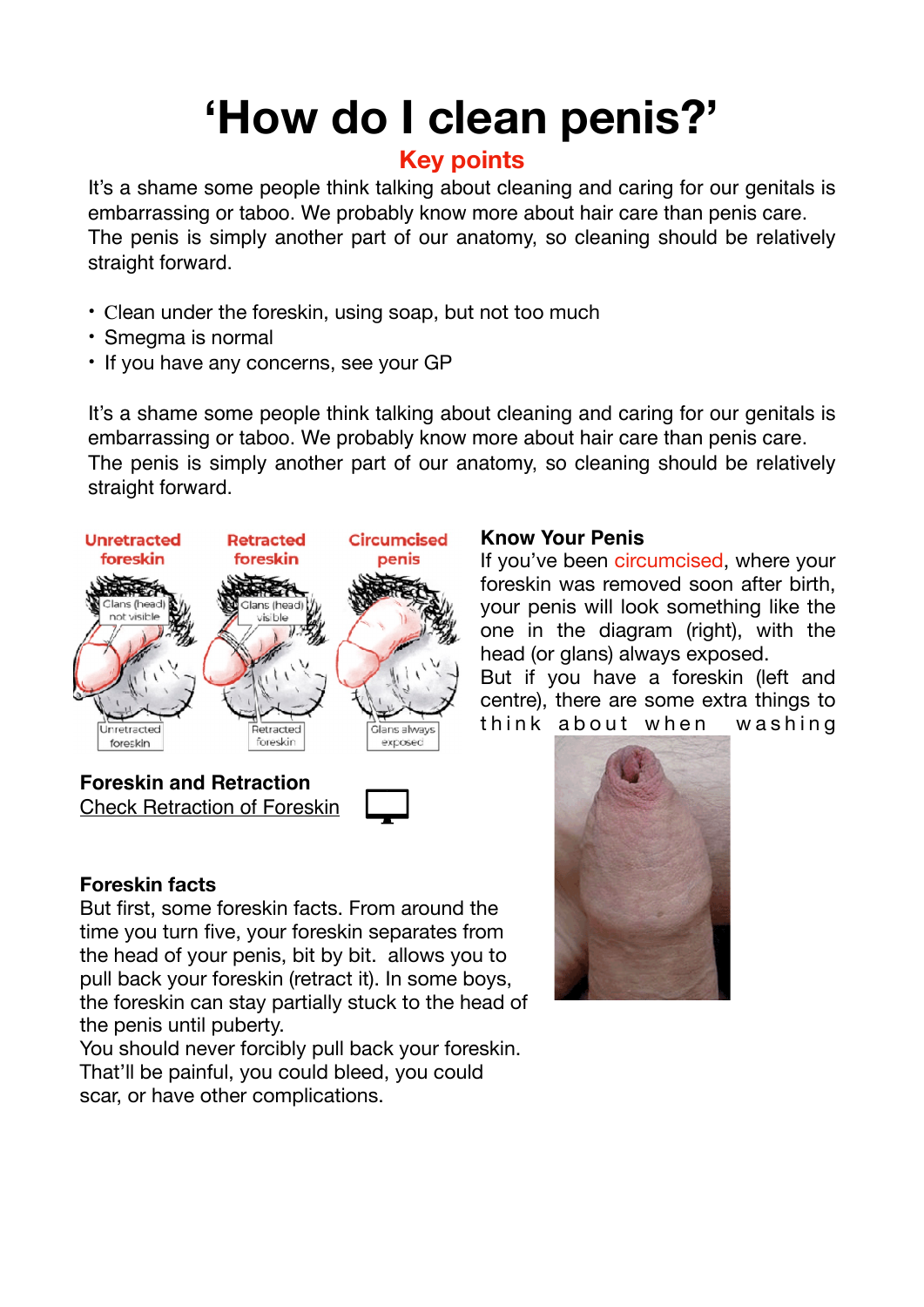# **'How do I clean penis?'**

## **Key points**

It's a shame some people think talking about cleaning and caring for our genitals is embarrassing or taboo. We probably know more about hair care than penis care. The penis is simply another part of our anatomy, so cleaning should be relatively straight forward.

- Clean under the foreskin, using soap, but not too much
- Smegma is normal
- If you have any concerns, see your GP

It's a shame some people think talking about cleaning and caring for our genitals is embarrassing or taboo. We probably know more about hair care than penis care. The penis is simply another part of our anatomy, so cleaning should be relatively straight forward.



[Check Retraction of Foreskin](https://drive.google.com/drive/folders/1I9-iN2M3rtTnAH4I3KKdUzQypr7RalP7?usp=sharing)



#### **Foreskin facts**

But first, some foreskin facts. From around the time you turn five, your foreskin separates from the head of your penis, bit by bit. allows you to pull back your foreskin (retract it). In some boys, the foreskin can stay partially stuck to the head of the penis until puberty.

You should never forcibly pull back your foreskin. That'll be painful, you could bleed, you could scar, or have other complications.

#### **Know Your Penis**

If you've been circumcised, where your foreskin was removed soon after birth, your penis will look something like the one in the diagram (right), with the head (or glans) always exposed.

But if you have a foreskin (left and centre), there are some extra things to think about when washing